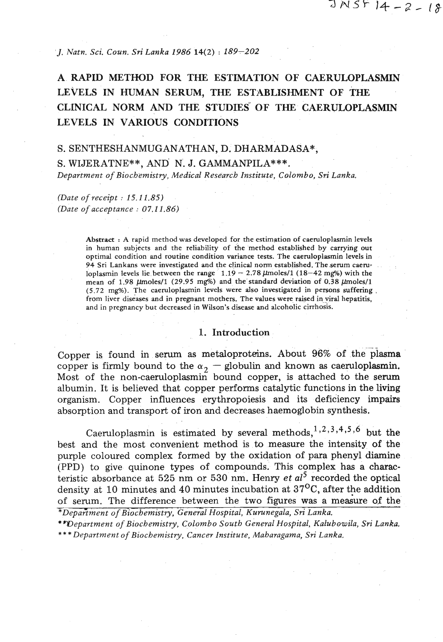$JNSF14 - 2 - 18$ 

*J. Natn. Sci. Coun.* Sn' *Lanka 1986* 14(2) : *189-202* 

# **A RAPID METHOD FOR THE ESTIMATION OF CAERULOPLASMIN LEVELS IN HUMAN SERUM, THE ESTABLISHMENT OF THE CLINICAL NORM AND THE STUDIES OF THE CAERULOPLASMIN LEVELS IN VARIOUS CONDITIONS**

#### S. SENTHESHANMUGANATHAN, D. DHARMADASA\*,

S. WIJERATNE\*\*, AND' N. J. GAMMANPILA\*\*\*. *Department of Biochemistry, Medical Research Institute, Colombo, Sri Lanka,* 

# *(Date of receipt* : *15.11.85) (Date of acceptance* : *07.1 1.86)*

Abstract : A rapid method was developed for the estimation of caemloplasmin levels in human subjects and the reliability of the method established by carrying our optimal condition and routine condition variance tests. The caemloplasmin levels in 94 Sri Lankans were investigated and the clinical norm established. The serum caeruloplasmin levels lie between the range  $1.19 - 2.78 \mu$ moles/1 (18-42 mg%) with the mean of  $1.98 \text{ \mu}$ moles/1 (29.95 mg%) and the standard deviation of 0.38  $\mu$ moles/1 (5.72 mg%). The caemloplasmin levels were also investigated in persons suffering . from liver diseases and in pregnant mothers. The values were raised in viral hepatitis, and in pregnancy but decreased in Wilson's disease and alcoholic cirrhosis.

#### 1. Introduction :

Copper is found in serum as metaloproteins. About 96% of the plasma copper is firmly bound to the  $\alpha_2$  - globulin and known as caeruloplasmin. Most of the non-caeruloplasmin bound copper, is attached to the serum albumin. It is believed that copper performs catalytic functions in the living organism. Copper influences erythropoiesis and its deficiency impairs absorption and transport of iron and decreases haemoglobin synthesis.

Caeruloplasmin is estimated by several methods,  $1,2,3,4,5,6$  but the best and the most convenient method is to measure the intensity of the purple coloured complex formed by the oxidation of para phenyl diamine (PPD) to give quinone types of compounds. This complex has a characteristic absorbance at 525 nm or 530 **nrn.** Henry et *a15* recorded the optical density at 10 minutes and 40 minutes incubation at  $37^{\circ}$ C, after the addition of serum. The difference between the two figures was a measure of the *\*Department of Biochemistry, General Hospital, Kurunegala, Sri Lanka.* 

\* *Wepartment of Biochemistry, Colombo South General Hospital, Kulubowila, Sri Lanka. \*\*\*Department of Biochemistry, Cancer Institute, Maharagama, Sri Lanka,*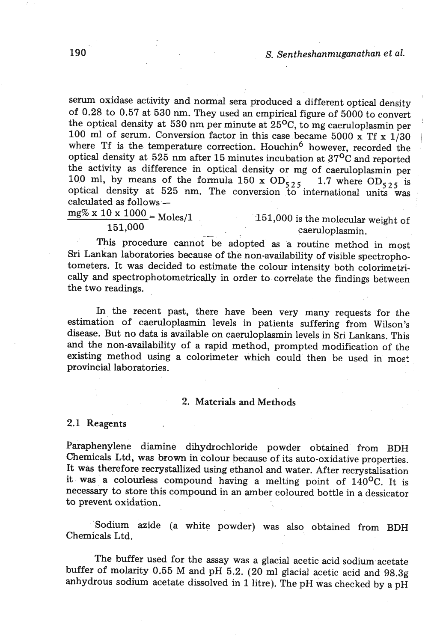serum oxidase activity and normal sera produced a different optical density of 0.28 to 0.57 at 530 nm. They used an empirical figure of 5000 to convert the optical density at 530 nm per minute at  $25^{\circ}$ C, to mg caeruloplasmin per 100 ml of serum. Conversion factor in this case became 5000 x Tf x  $1/30$ where Tf is the temperature correction. Houchin<sup>6</sup> however, recorded the optical density at  $52\overline{5}$  nm after 15 minutes incubation at  $37\overline{0}C$  and reported the activity as difference in optical density or mg of caemloplasmin per 100 ml, by means of the formula 150 x  $OD_{525}$  1.7 where  $OD_{525}$  is potent, by means of the formula 150 x  $OD_{525}$  1.7 where  $OD_{525}$  is<br>optical density at 525 nm. The conversion to international units was<br>calculated as follows –

$$
\frac{\text{mg% x 10 x 1000}}{\text{Moles}} = \text{Moles/1}
$$

 $\frac{x}{151,000}$  = Moles/1 151,000 is the molecular weight of caeruloplasmin.

This procedure cannot be adopted as a routine method in most Sri Lankan laboratories because of the non-availability of visible spectrophotometers. It was decided to estimate the colour intensity both colorimetrically and spectrophotometrically in order to correlate the findings between the two readings.

In the recent past, there have been very many requests for the estimation of caeruloplasmin levels in patients suffering from Wilson's disease. But no data is available on caeruloplasmin levels in Sri Lankans. This and the non-availability of a rapid method, prompted modification of the existing method using a colorimeter which could then be used in most provincial laboratories.

# 2. Materials and Methods

# 2.1 Reagents

Paraphenylene diamine dihydrochloride powder obtained from **BDH**  Chemicals Ltd, was brown in colour because of its auto-oxidative properties. It was therefore recrystallized using ethanol and water. After recrystalisation it was a colourless compound having a melting point of 140°C. It is necessary to store this compound in an amber coloured bottle in a dessicator to prevent oxidation.

Sodium azide (a white powder) was also obtained from BDH Chemicals Ltd.

The buffer used for the assay was a glacial acetic acid sodium acetate buffer of molarity 0.55 M and **pH** 5.2. (20 ml glacial acetic acid and **98.3g**  anhydrous sodium acetate dissolved in 1 litre). The **pH** was checked by a pH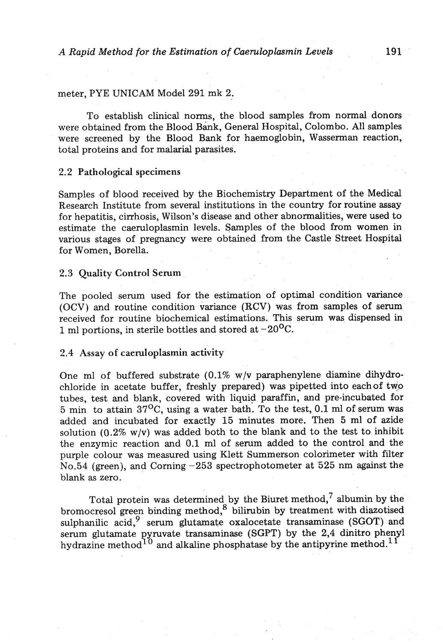#### meter, PYE UNICAM Model 291 mk 2.

To establish clinical norms, the blood samples from normal donors were obtained from the Blood Bank, General Hospital, Colombo. All samples were screened by the Blood Bank for haemoglobin, Wasserman reaction, total proteins and for malarial parasites.

#### **2.2** Pathological specimens

Samples of blood received by the Biochemistry Department of the Medical Research Institute from several institutions in the country for routine assay for hepatitis, cirrhosis, Wilson's disease and other abnormalities, were used to estimate the caeruloplasmin levels. Samples of the blood from women in various stages of pregnancy were obtained from the Castle Street Hospital for Women, Borella.

# 2.3 Quality Control Serum

The pooled serum used for the estimation of optimal condition variance (OCV) and routine condition variance (RCV) was from samples of serum received for routine biochemical estimations. This serum was dispensed in 1 ml portions, in sterile bottles and stored at  $-20^{\circ}$ C.

# 2.4 Assay of caeruloplasmin activity

One ml of buffered substrate (0.1% w/v paraphenylene diamine dihydrochloride in acetate buffer, freshly prepared) was pipetted into eachof tyo tubes, test and blank, covered with liquid paraffin, and pre-incubated for 5 min to attain  $37^{\circ}$ C, using a water bath. To the test, 0.1 ml of serum was added and incubated for exactly 15 minutes more. Then 5 ml of azide solution  $(0.2\% \text{ w/v})$  was added both to the blank and to the test to inhibit the enzymic reaction and 0.1 ml of serum added to the control and the purple colour was measured using Klett Summerson calorimeter with filter No.54 (green), and Corning  $-253$  spectrophotometer at 525 nm against the blank as zero.

Total protein was determined by the Biuret method, albumin by the bromocresol green binding method, $^8$  bilirubin by treatment with diazotised sulphanilic acid, $9$  serum glutamate oxalocetate transaminase (SGOT) and serum glutamate pyruvate transaminase (SGPT) by the 2,4 dinitro phenyl hydrazine method<sup>10</sup> and alkaline phosphatase by the antipyrine method.<sup>11</sup>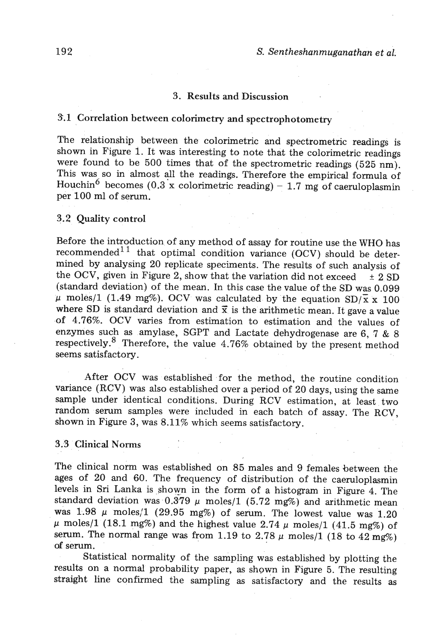## **3.** Results **and** Discussion

# **3.1** Correlation between colorimetry **and** spectrophotometry

The relationship between the colorimetric and spectrometric readings is shown in Figure 1. It was interesting to note that the colorimetric readings were found to be 500 times that of the spectrometric readings (525 nm). This was so in almost all the readings. Therefore the empirical formula of Houch in<sup>6</sup> becomes (0.3 x colorimetric reading) - 1.7 mg of caeruloplasmin per 100 ml of serum.

## 3.2 Quality control

Before the introduction of any method of assay for routine use the WHO has recommended<sup>11</sup> that optimal condition variance (OCV) should be deterrecommended<sup>11</sup> that optimal condition variance (OCV) should be determined by analysing 20 replicate speciments. The results of such analysis of the OCV, given in Figure 2, show that the variation did not exceed  $\pm 2$  SD (standard deviation) of the mean. In this case the value of the SD was 0.099  $\mu$  moles/1 (1.49 mg%). OCV was calculated by the equation SD/ $\bar{x}$  x 100 where SD is standard deviation and  $\bar{x}$  is the arithmetic mean. It gave a value of 4.76%. OCV varies from estimation to estimation and the values of enzymes such as amylase, SGPT and Lactate dehydrogenase are 6, 7 & 8 respectively. $8$  Therefore, the value 4.76% obtained by the present method seems satisfactory.

After OCV was established for the method, the routine condition variance (RCV) was also established over a period of 20 days, using the same sample under identical conditions. During RCV estimation, at least two random serum samples were included in each batch of assay. The RCV, shown in Figure **3,** was 8.11% which seems satisfactory.

# **3.3** Clinical Norms

The clinical norm was established on 85 males **and** 9 females between the ages of 20 and 60. The frequency of distribution of the caeruloplasmin levels in Sri Lanka is shown in the form of a histogram in Figure 4. The standard deviation was  $0.379 \mu$  moles/1 (5.72 mg%) and arithmetic mean was  $1.98 \mu$  moles/1 (29.95 mg%) of serum. The lowest value was 1.20  $\mu$  moles/1 (18.1 mg%) and the highest value 2.74  $\mu$  moles/1 (41.5 mg%) of serum. The normal range was from 1.19 to  $2.78 \mu$  moles/1 (18 to  $42 \text{ mg\%}$ ) **of** serum.

Statistical normality of the sampling was established by plotting the results on a normal probability paper, as shown in Figure 5. The resulting straight line confirmed the sampling as satisfactory and the results as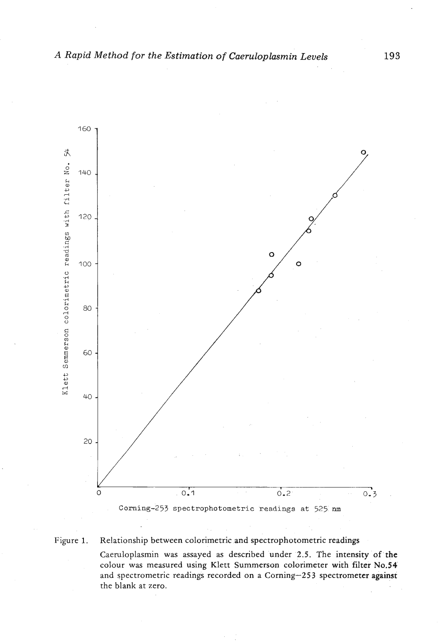

Figure 1. Relationship between colorimetric and spectrophotometric readings

Caeruloplasmin was assayed as described under 2.5. The intensity of the colour was measured using Klett Summerson colorimeter with filter No.54 and spectrometric readings recorded on a Corning-253 spectrometer against the blank at zero.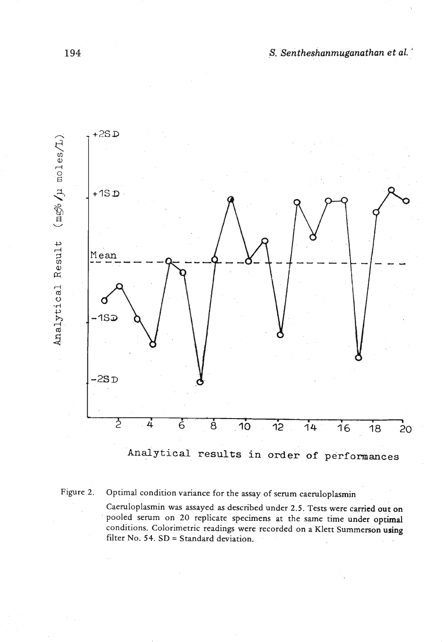



**Figure 2. Optimal condition variance for the assay of serum caeruloplasmin** 

**Caeruloplasmin was assayed as described under 2.5. Tests were carried out on pooled serum on 20 replicate specimens at the same time under optimal conditions. Colorimetric readings were recorded on a Klett Summerson using filter No. 54. SD** = **Standard deviation.**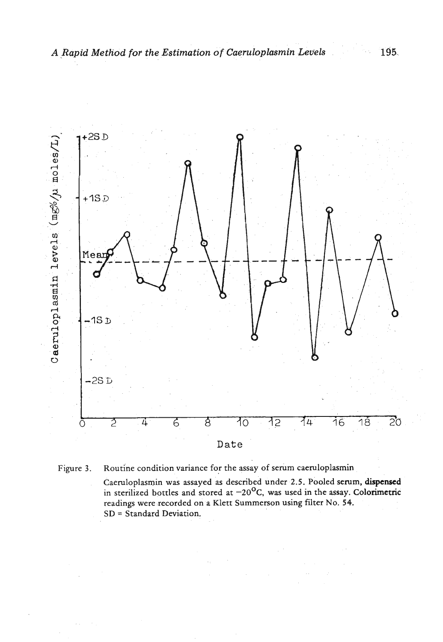



**Caeruloplasmin was assayed as described under 2.5. Pooled serum, dispensed**  in sterilized bottles and stored at  $-20^{\circ}$ C, was used in the assay. Colorimetric **readings were recorded on a Klett Summerson using filter No. 54. SD** = **Standard Deviation.**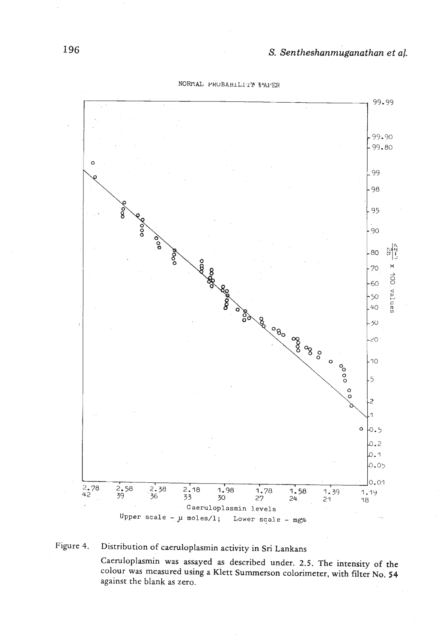99.99 99.90  $-99.80$  $\circ$ 99 - 98 95 - 90  $\frac{5}{6}$ 싫  $8000$ -80 န္တ  $\mathbf{\hat{x}}$ -70 ශ්ශී 100 values -60  $-50$ **POOD**  $\frac{1}{40}$ BOOSTS OF ORDER - 30 -20  $\circ \circ \circ$ - 10  $-5$  $\frac{0}{\circ}$  $\overline{c}$ 1  $\mathsf{o}$ 0.5 2.م ۵.۱ 0.05  $0.01$  $\frac{2.78}{42}$  $\frac{2.58}{39}$  $2.38$  $2.18$  $1.98$  $1.78$  $1.58$  $1.39$ 1.19  $\frac{1}{36}$ 33 30 27  $24$  $21$ 18 **Caeruloplasmin levels**  Upper scale -  $\mu$  moles/1; Lower scale - mg%

NORMAL PROBABILITY FAPER

# **Figure 4. Distribution of caemloplasmin activity in Sri Lankans**

**Caeruloplasmin was assayed as described under. 2.5. The intensity of the colour was measured using a Klett Summerson calorimeter, with filter No. 54 against the blank as zero.**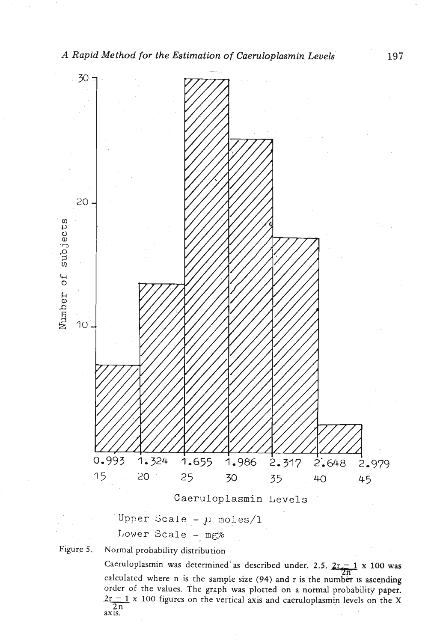

Upper Scale - **JJ** moles/l Lower Scale - mg%

**Figure 5. Normal probability distribution** 

Caeruloplasmin was determined as described under. 2.5.  $2r - 1 \times 100$  was calculated where n is the sample size (94) and r is the number is ascending order of the values. The graph was plotted on a normal probability paper.  $2r - 1 \times 100$  figures on the vertical axis and caeruloplasmin levels on the X  $1 \times 100$  figures on the vertical axis and caeruloplasmin levels on the X  $\frac{2n}{ax}$ <sup>2n</sup>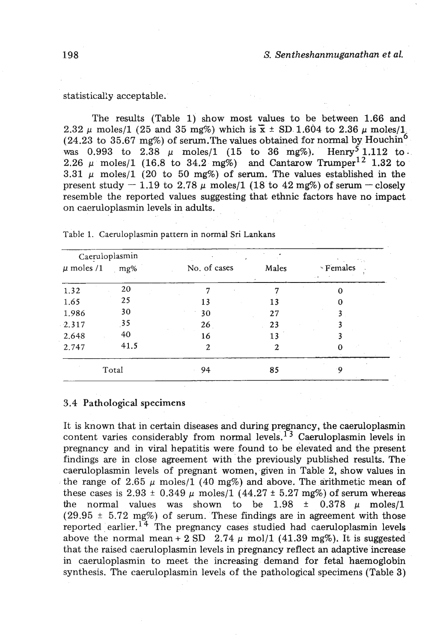### statistically acceptable.

The results (Table 1) show most values to be between 1.66 and 2.32  $\mu$  moles/1 (25 and 35 mg%) which is  $\bar{x} \pm$  SD 1.604 to 2.36  $\mu$  moles/1 (24.23 to 35.67 mg%) of serum. The values obtained for normal by Houchin<sup>6</sup> was 0.993 to 2.38  $\mu$  moles/1 (15 to 36 mg%). Henry<sup>5</sup> 1.112 to was 0.993 to  $2.38 \mu$  moles/1 (15 to 36 mg%). 2.26  $\mu$  moles/1 (16.8 to 34.2 mg%) and Cantarow Trumper<sup>12</sup> 1.32 to  $3.31 \mu$  moles/1 (20 to 50 mg%) of serum. The values established in the present study  $-1.19$  to 2.78  $\mu$  moles/1 (18 to 42 mg%) of serum - closely resemble the reported values suggesting that ethnic factors have no impact on caeruloplasmin levels in adults.

| Caeruloplasmin |      |              |       | ns.                           |
|----------------|------|--------------|-------|-------------------------------|
| $\mu$ moles /1 | mg%  | No. of cases | Males | · Females<br>$\sim$ $\bullet$ |
| 1.32           | 20   | 7            |       | o                             |
| 1.65           | 25   | 13           | 13    |                               |
| 1.986          | 30   | 30           | 27    |                               |
| 2.317          | 35   | 26           | 23    |                               |
| 2.648          | 40   | 16           | 13    |                               |
| 2.747          | 41.5 | $\mathbf{2}$ | 2     | 0                             |
| Total          |      | 94           | 85    | ۰٥                            |

**Table 1. Caeruloplasmin pattern in normal Sri Lankans** 

# **3.4** Pathological **specimens**

It is known that in certain diseases and during pregnancy, the caeruloplasmin content varies considerably from normal levels.<sup>13</sup> Caeruloplasmin levels in pregnancy and in viral hepatitis were found to be elevated and the present findings are in close agreement with the previously published results. The caeruloplasmin levels of pregnant women, given in Table 2, show values in the range of 2.65  $\mu$  moles/1 (40 mg%) and above. The arithmetic mean of these cases is  $2.93 \pm 0.349 \mu$  moles/1 (44.27  $\pm$  5.27 mg%) of serum whereas the normal values was shown to be  $1.98 \pm 0.378$   $\mu$  moles/1  $(29.95 \pm 5.72 \text{ mg\%})$  of serum. These findings are in agreement with those reported earlier.<sup>14</sup> The pregnancy cases studied had caeruloplasmin levels above the normal mean + 2 SD  $2.74 \mu$  mol/1 (41.39 mg%). It is suggested that the raised caeruloplasmin levels in pregnancy reflect an adaptive increase in caeruloplasmin to meet the increasing demand for fetal haemoglobin synthesis. The caeruloplasmin levels of the pathological specimens (Table 3)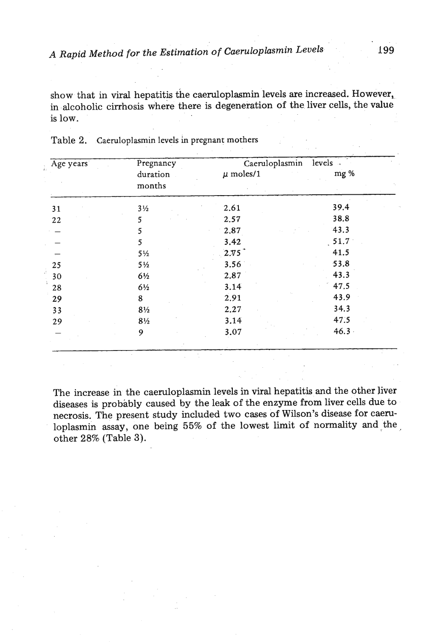show that in viral hepatitis the caeruloplasmin levels are increased. However, in alcoholic cirrhosis where there is degeneration of the liver cells, the value is low.

| Age years | Pregnancy<br>duration<br>months | Caeruloplasmin<br>$\mu$ moles/1 | levels .<br>mg % |
|-----------|---------------------------------|---------------------------------|------------------|
| 31        | $3\frac{1}{2}$                  | 2.61                            | 39.4             |
| 22        | 5                               | 2.57                            | 38.8             |
|           | 5                               | 2.87                            | 43.3             |
|           | 5                               | 3.42                            | 51.7             |
|           | $5\frac{1}{2}$                  | 2.75                            | 41.5             |
| 25        | $5\frac{1}{2}$                  | 3.56                            | 53.8             |
| 30        | 6½                              | 2.87                            | 43.3             |
| 28        | $6\frac{1}{2}$                  | 3.14                            | 47.5             |
| 29        | 8                               | 2.91                            | 43.9             |
| 33        | $8\frac{1}{2}$                  | 2.27                            | 34.3             |
| 29        | $8\frac{1}{2}$                  | 3.14                            | 47.5             |
|           | 9                               | 3.07                            | $46.3 -$         |

| Table 2. |  | Caeruloplasmin levels in pregnant mothers |  |
|----------|--|-------------------------------------------|--|
|          |  |                                           |  |

The increase in the caeruloplasmin levels in viral hepatitis and the other liver diseases is probably caused by the leak of the enzyme from liver cells due to necrosis. The present study included two cases of Wilson's disease for caeruloplasmin assay, one being 55% of the lowest limit of normality and the, other 28% (Table **3).**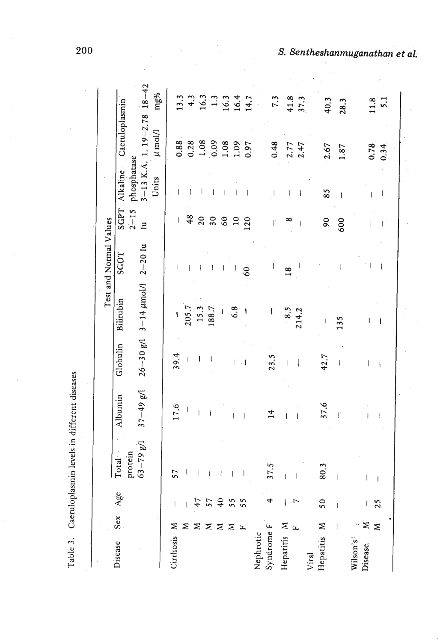S. Sentheshanmuganathan et al.